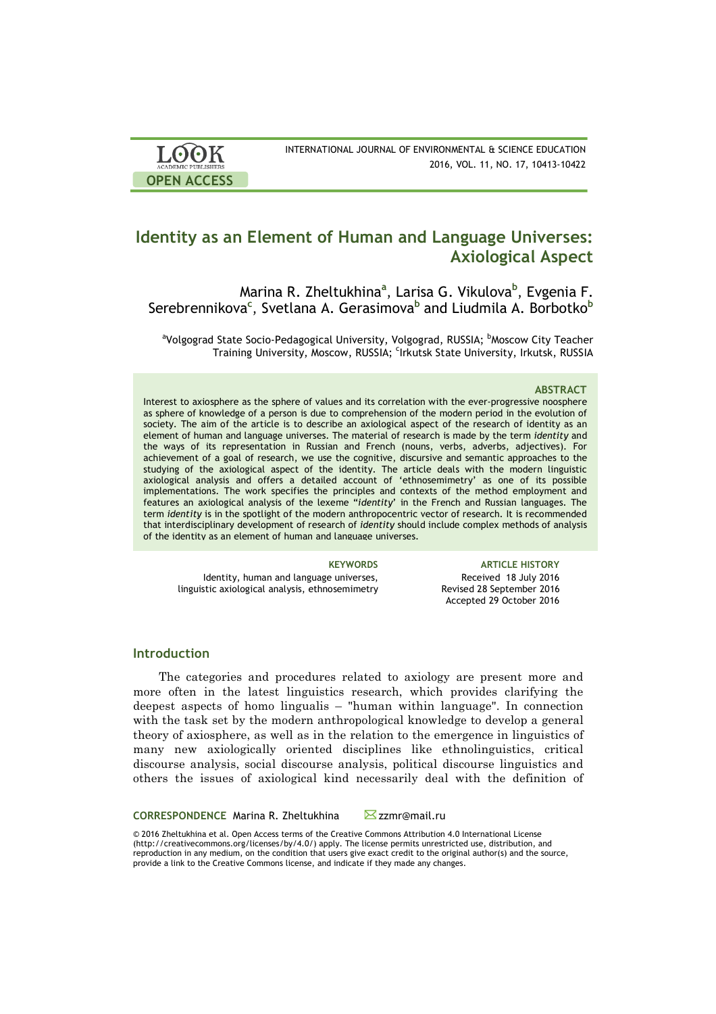| <b>LOOK</b><br><b>ACADEMIC PUBLISHERS</b> | INTERNATIONAL JOURNAL OF ENVIRONMENTAL & SCIENCE EDUCATION<br>2016, VOL. 11, NO. 17, 10413-10422 |
|-------------------------------------------|--------------------------------------------------------------------------------------------------|
| <b>OPEN ACCESS</b>                        |                                                                                                  |

# **Identity as an Element of Human and Language Universes: Axiological Aspect**

Marina R. Zheltukhina**<sup>a</sup>** , Larisa G. Vikulova**<sup>b</sup>** , Evgenia F. Serebrennikova**<sup>c</sup>** , Svetlana A. Gerasimova**<sup>b</sup>** and Liudmila A. Borbotko**<sup>b</sup>**

<sup>a</sup>Volgograd State Socio-Pedagogical University, Volgograd, RUSSIA; <sup>b</sup>Moscow City Teacher Training University, Moscow, RUSSIA; <sup>c</sup>Irkutsk State University, Irkutsk, RUSSIA

## **ABSTRACT**

Interest to axiosphere as the sphere of values and its correlation with the ever-progressive noosphere as sphere of knowledge of a person is due to comprehension of the modern period in the evolution of society. The aim of the article is to describe an axiological aspect of the research of identity as an element of human and language universes. The material of research is made by the term *identity* and the ways of its representation in Russian and French (nouns, verbs, adverbs, adjectives). For achievement of a goal of research, we use the cognitive, discursive and semantic approaches to the studying of the axiological aspect of the identity. The article deals with the modern linguistic axiological analysis and offers a detailed account of 'ethnosemimetry' as one of its possible implementations. The work specifies the principles and contexts of the method employment and features an axiological analysis of the lexeme "*identity*' in the French and Russian languages. The term *identity* is in the spotlight of the modern anthropocentric vector of research. It is recommended that interdisciplinary development of research of *identity* should include complex methods of analysis of the identity as an element of human and language universes.

Identity, human and language universes, linguistic axiological analysis, ethnosemimetry

**KEYWORDS ARTICLE HISTORY** Received 18 July 2016 Revised 28 September 2016 Accepted 29 October 2016

## **Introduction**

The categories and procedures related to axiology are present more and more often in the latest linguistics research, which provides clarifying the deepest aspects of homo lingualis – "human within language". In connection with the task set by the modern anthropological knowledge to develop a general theory of axiosphere, as well as in the relation to the emergence in linguistics of many new axiologically oriented disciplines like ethnolinguistics, critical discourse analysis, social discourse analysis, political discourse linguistics and others the issues of axiological kind necessarily deal with the definition of

**CORRESPONDENCE** Marina R. Zheltukhina **Zamr@mail.ru** 

© 2016 Zheltukhina et al. Open Access terms of the Creative Commons Attribution 4.0 International License (http://creativecommons.org/licenses/by/4.0/) apply. The license permits unrestricted use, distribution, and reproduction in any medium, on the condition that users give exact credit to the original author(s) and the source, provide a link to the Creative Commons license, and indicate if they made any changes.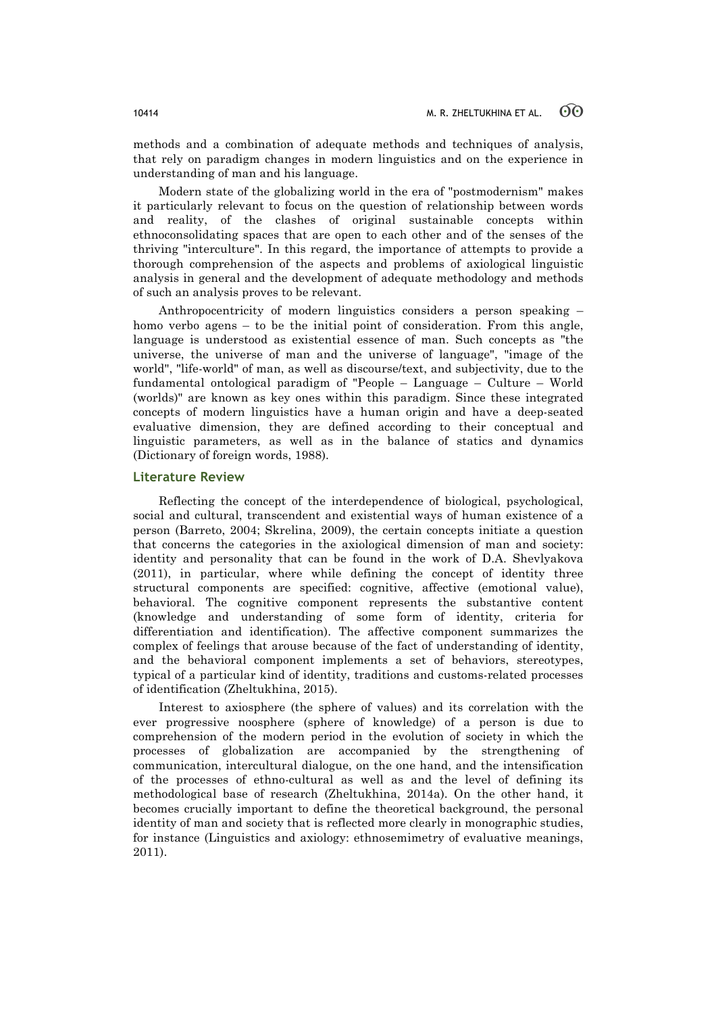methods and a combination of adequate methods and techniques of analysis, that rely on paradigm changes in modern linguistics and on the experience in understanding of man and his language.

Modern state of the globalizing world in the era of "postmodernism" makes it particularly relevant to focus on the question of relationship between words and reality, of the clashes of original sustainable concepts within ethnoconsolidating spaces that are open to each other and of the senses of the thriving "interculture". In this regard, the importance of attempts to provide a thorough comprehension of the aspects and problems of axiological linguistic analysis in general and the development of adequate methodology and methods of such an analysis proves to be relevant.

Anthropocentricity of modern linguistics considers a person speaking – homo verbo agens – to be the initial point of consideration. From this angle, language is understood as existential essence of man. Such concepts as "the universe, the universe of man and the universe of language", "image of the world", "life-world" of man, as well as discourse/text, and subjectivity, due to the fundamental ontological paradigm of "People – Language – Culture – World (worlds)" are known as key ones within this paradigm. Since these integrated concepts of modern linguistics have a human origin and have a deep-seated evaluative dimension, they are defined according to their conceptual and linguistic parameters, as well as in the balance of statics and dynamics (Dictionary of foreign words, 1988).

## **Literature Review**

Reflecting the concept of the interdependence of biological, psychological, social and cultural, transcendent and existential ways of human existence of a person (Barreto, 2004; Skrelina, 2009), the certain concepts initiate a question that concerns the categories in the axiological dimension of man and society: identity and personality that can be found in the work of D.A. Shevlyakova (2011), in particular, where while defining the concept of identity three structural components are specified: cognitive, affective (emotional value), behavioral. The cognitive component represents the substantive content (knowledge and understanding of some form of identity, criteria for differentiation and identification). The affective component summarizes the complex of feelings that arouse because of the fact of understanding of identity, and the behavioral component implements a set of behaviors, stereotypes, typical of a particular kind of identity, traditions and customs-related processes of identification (Zheltukhina, 2015).

Interest to axiosphere (the sphere of values) and its correlation with the ever progressive noosphere (sphere of knowledge) of a person is due to comprehension of the modern period in the evolution of society in which the processes of globalization are accompanied by the strengthening of communication, intercultural dialogue, on the one hand, and the intensification of the processes of ethno-cultural as well as and the level of defining its methodological base of research (Zheltukhina, 2014a). On the other hand, it becomes crucially important to define the theoretical background, the personal identity of man and society that is reflected more clearly in monographic studies, for instance (Linguistics and axiology: ethnosemimetry of evaluative meanings, 2011).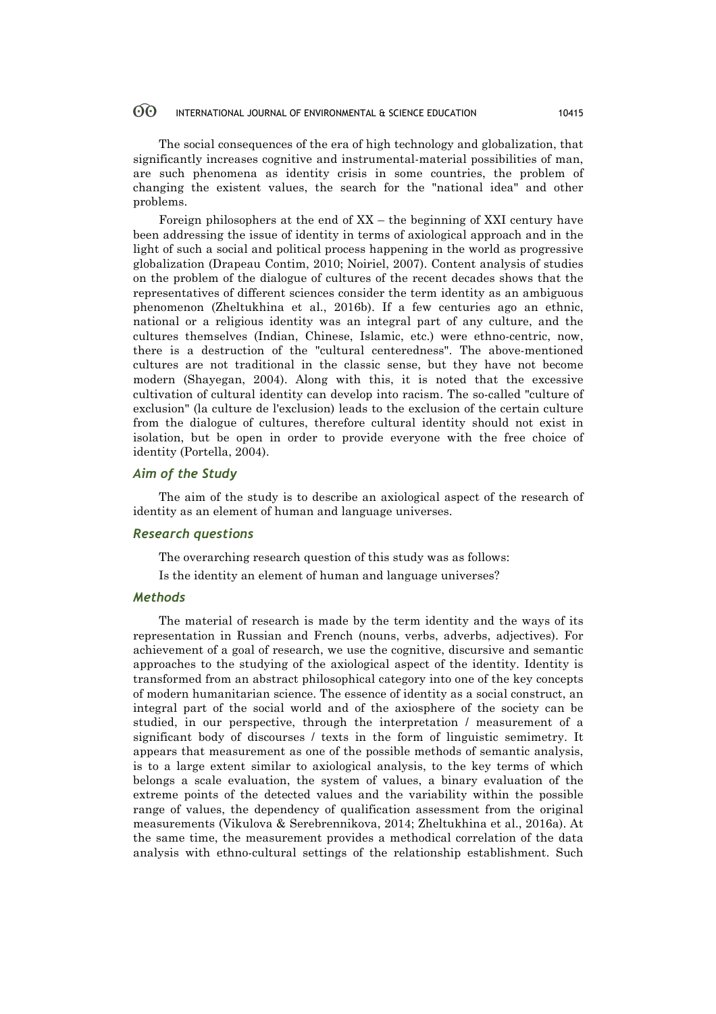The social consequences of the era of high technology and globalization, that significantly increases cognitive and instrumental-material possibilities of man, are such phenomena as identity crisis in some countries, the problem of changing the existent values, the search for the "national idea" and other problems.

Foreign philosophers at the end of XX – the beginning of XXI century have been addressing the issue of identity in terms of axiological approach and in the light of such a social and political process happening in the world as progressive globalization (Drapeau Contim, 2010; Noiriel, 2007). Content analysis of studies on the problem of the dialogue of cultures of the recent decades shows that the representatives of different sciences consider the term identity as an ambiguous phenomenon (Zheltukhina et al., 2016b). If a few centuries ago an ethnic, national or a religious identity was an integral part of any culture, and the cultures themselves (Indian, Chinese, Islamic, etc.) were ethno-centric, now, there is a destruction of the "cultural centeredness". The above-mentioned cultures are not traditional in the classic sense, but they have not become modern (Shayegan, 2004). Along with this, it is noted that the excessive cultivation of cultural identity can develop into racism. The so-called "culture of exclusion" (la culture de l'exclusion) leads to the exclusion of the certain culture from the dialogue of cultures, therefore cultural identity should not exist in isolation, but be open in order to provide everyone with the free choice of identity (Portella, 2004).

## *Aim of the Study*

The aim of the study is to describe an axiological aspect of the research of identity as an element of human and language universes.

## *Research questions*

The overarching research question of this study was as follows:

Is the identity an element of human and language universes?

## *Methods*

The material of research is made by the term identity and the ways of its representation in Russian and French (nouns, verbs, adverbs, adjectives). For achievement of a goal of research, we use the cognitive, discursive and semantic approaches to the studying of the axiological aspect of the identity. Identity is transformed from an abstract philosophical category into one of the key concepts of modern humanitarian science. The essence of identity as a social construct, an integral part of the social world and of the axiosphere of the society can be studied, in our perspective, through the interpretation / measurement of a significant body of discourses / texts in the form of linguistic semimetry. It appears that measurement as one of the possible methods of semantic analysis, is to a large extent similar to axiological analysis, to the key terms of which belongs a scale evaluation, the system of values, a binary evaluation of the extreme points of the detected values and the variability within the possible range of values, the dependency of qualification assessment from the original measurements (Vikulova & Serebrennikova, 2014; Zheltukhina et al., 2016a). At the same time, the measurement provides a methodical correlation of the data analysis with ethno-cultural settings of the relationship establishment. Such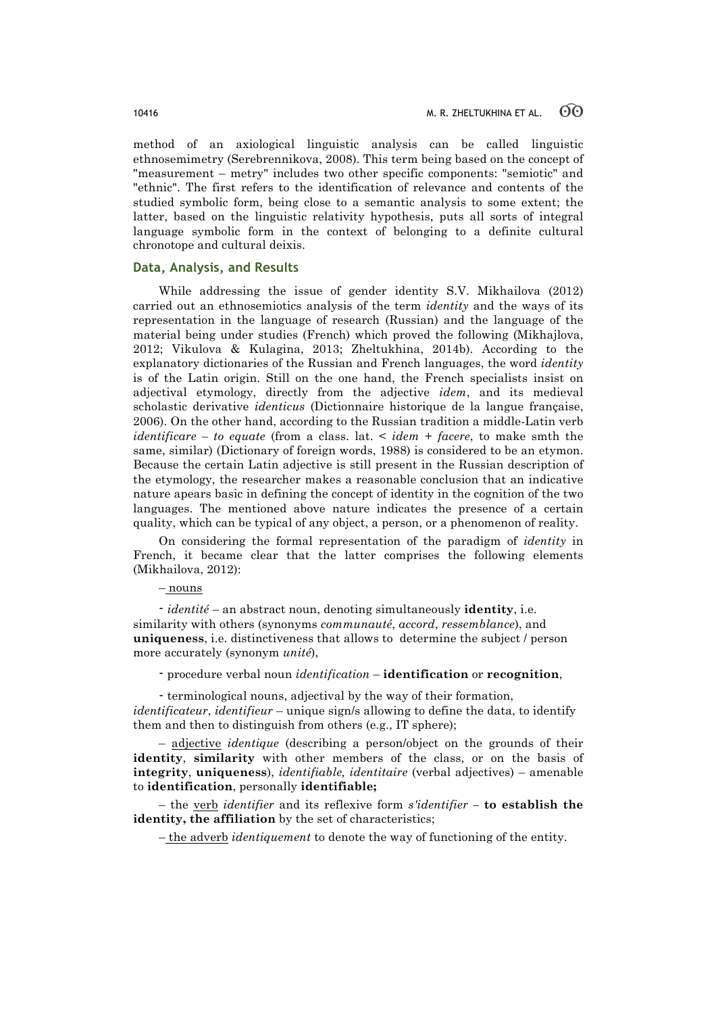method of an axiological linguistic analysis can be called linguistic ethnosemimetry (Serebrennikova, 2008). This term being based on the concept of "measurement – metry" includes two other specific components: "semiotic" and "ethnic". The first refers to the identification of relevance and contents of the studied symbolic form, being close to a semantic analysis to some extent; the latter, based on the linguistic relativity hypothesis, puts all sorts of integral language symbolic form in the context of belonging to a definite cultural chronotope and cultural deixis.

## **Data, Analysis, and Results**

While addressing the issue of gender identity S.V. Mikhailova (2012) carried out an ethnosemiotics analysis of the term *identity* and the ways of its representation in the language of research (Russian) and the language of the material being under studies (French) which proved the following (Mikhajlova, 2012; Vikulova & Kulagina, 2013; Zheltukhina, 2014b). According to the explanatory dictionaries of the Russian and French languages, the word *identity* is of the Latin origin. Still on the one hand, the French specialists insist on adjectival etymology, directly from the adjective *idem*, and its medieval scholastic derivative *identicus* (Dictionnaire historique de la langue française, 2006). On the other hand, according to the Russian tradition a middle-Latin verb *identificare – to equate* (from a class. lat. < *idem* + *facere*, to make smth the same, similar) (Dictionary of foreign words, 1988) is considered to be an etymon. Because the certain Latin adjective is still present in the Russian description of the etymology, the researcher makes a reasonable conclusion that an indicative nature apears basic in defining the concept of identity in the cognition of the two languages. The mentioned above nature indicates the presence of a certain quality, which can be typical of any object, a person, or a phenomenon of reality.

On considering the formal representation of the paradigm of *identity* in French, it became clear that the latter comprises the following elements (Mikhailova, 2012):

## – nouns

- *identité* – an abstract noun, denoting simultaneously **identity**, i.e. similarity with others (synonyms *communauté*, *accord*, *ressemblance*), and **uniqueness**, i.e. distinctiveness that allows to determine the subject / person more accurately (synonym *unité*),

- procedure verbal noun *identification* – **identification** or **recognition**,

- terminological nouns, adjectival by the way of their formation, *identificateur*, *identifieur* – unique sign/s allowing to define the data, to identify them and then to distinguish from others (e.g., IT sphere);

– adjective *identique* (describing a person/object on the grounds of their **identity**, **similarity** with other members of the class, or on the basis of **integrity**, **uniqueness**), *identifiable, identitaire* (verbal adjectives) – amenable to **identification**, personally **identifiable;**

– the verb *identifier* and its reflexive form *s'identifier –* **to establish the identity, the affiliation** by the set of characteristics;

– the adverb *identiquement* to denote the way of functioning of the entity.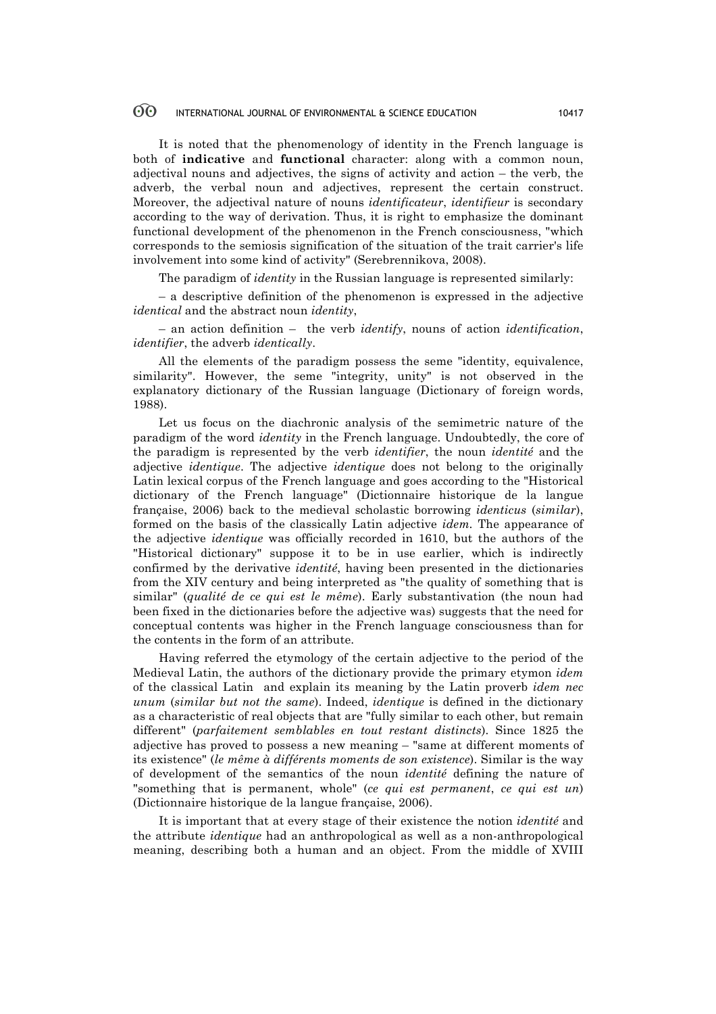It is noted that the phenomenology of identity in the French language is both of **indicative** and **functional** character: along with a common noun, adjectival nouns and adjectives, the signs of activity and action – the verb, the adverb, the verbal noun and adjectives, represent the certain construct. Moreover, the adjectival nature of nouns *identificateur*, *identifieur* is secondary according to the way of derivation. Thus, it is right to emphasize the dominant functional development of the phenomenon in the French consciousness, "which corresponds to the semiosis signification of the situation of the trait carrier's life involvement into some kind of activity" (Serebrennikova, 2008).

The paradigm of *identity* in the Russian language is represented similarly:

– a descriptive definition of the phenomenon is expressed in the adjective *identical* and the abstract noun *identity*,

– an action definition – the verb *identify*, nouns of action *identification*, *identifier*, the adverb *identically*.

All the elements of the paradigm possess the seme "identity, equivalence, similarity". However, the seme "integrity, unity" is not observed in the explanatory dictionary of the Russian language (Dictionary of foreign words, 1988).

Let us focus on the diachronic analysis of the semimetric nature of the paradigm of the word *identity* in the French language. Undoubtedly, the core of the paradigm is represented by the verb *identifier*, the noun *identité* and the adjective *identique*. The adjective *identique* does not belong to the originally Latin lexical corpus of the French language and goes according to the "Historical dictionary of the French language" (Dictionnaire historique de la langue française, 2006) back to the medieval scholastic borrowing *identicus* (*similar*), formed on the basis of the classically Latin adjective *idem.* The appearance of the adjective *identique* was officially recorded in 1610, but the authors of the "Historical dictionary" suppose it to be in use earlier, which is indirectly confirmed by the derivative *identité*, having been presented in the dictionaries from the XIV century and being interpreted as "the quality of something that is similar" (*qualité de ce qui est le même*). Early substantivation (the noun had been fixed in the dictionaries before the adjective was) suggests that the need for conceptual contents was higher in the French language consciousness than for the contents in the form of an attribute.

Having referred the etymology of the certain adjective to the period of the Medieval Latin, the authors of the dictionary provide the primary etymon *idem* of the classical Latin and explain its meaning by the Latin proverb *idem nec unum* (*similar but not the same*). Indeed, *identique* is defined in the dictionary as a characteristic of real objects that are "fully similar to each other, but remain different" (*parfaitement semblables en tout restant distincts*). Since 1825 the adjective has proved to possess a new meaning – "same at different moments of its existence" (*le même à différents moments de son existence*). Similar is the way of development of the semantics of the noun *identité* defining the nature of "something that is permanent, whole" (*ce qui est permanent*, *ce qui est un*) (Dictionnaire historique de la langue française, 2006).

It is important that at every stage of their existence the notion *identité* and the attribute *identique* had an anthropological as well as a non-anthropological meaning, describing both a human and an object. From the middle of XVIII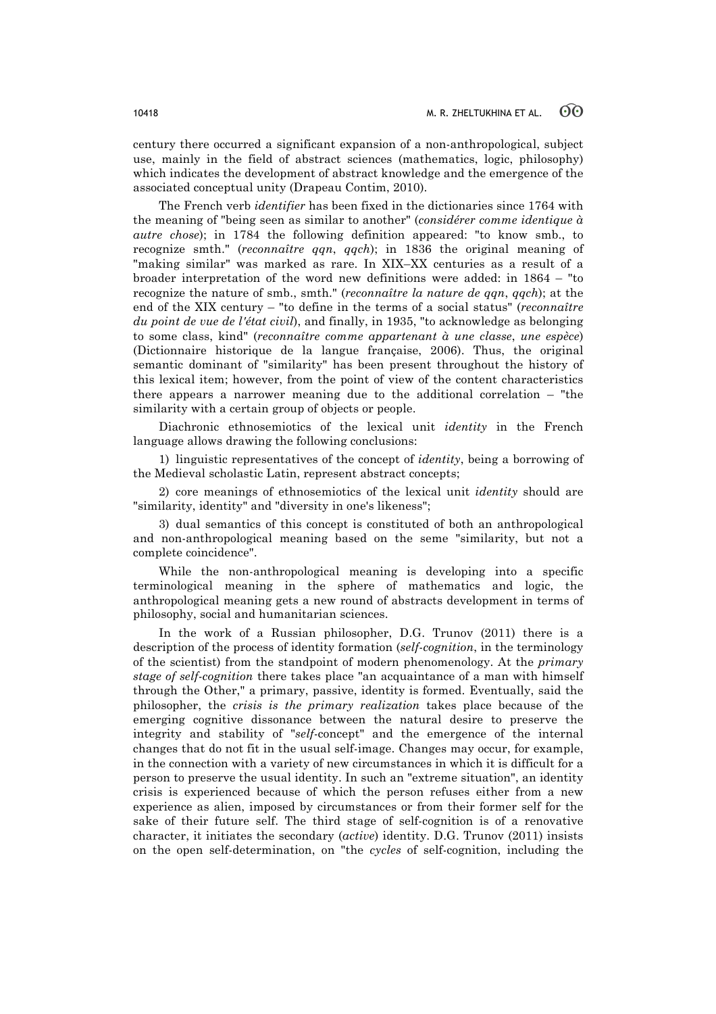century there occurred a significant expansion of a non-anthropological, subject use, mainly in the field of abstract sciences (mathematics, logic, philosophy) which indicates the development of abstract knowledge and the emergence of the associated conceptual unity (Drapeau Contim, 2010).

The French verb *identifier* has been fixed in the dictionaries since 1764 with the meaning of "being seen as similar to another" (*considérer comme identique à autre chose*); in 1784 the following definition appeared: "to know smb., to recognize smth." (*reconnaître qqn*, *qqch*); in 1836 the original meaning of "making similar" was marked as rare. In XIX–XX centuries as a result of a broader interpretation of the word new definitions were added: in 1864 – "to recognize the nature of smb., smth." (*reconnaître la nature de qqn*, *qqch*); at the end of the XIX century – "to define in the terms of a social status" (*reconnaître du point de vue de l'état civil*), and finally, in 1935, "to acknowledge as belonging to some class, kind" (*reconnaître comme appartenant à une classe*, *une espèce*) (Dictionnaire historique de la langue française, 2006). Thus, the original semantic dominant of "similarity" has been present throughout the history of this lexical item; however, from the point of view of the content characteristics there appears a narrower meaning due to the additional correlation – "the similarity with a certain group of objects or people.

Diachronic ethnosemiotics of the lexical unit *identity* in the French language allows drawing the following conclusions:

1) linguistic representatives of the concept of *identity*, being a borrowing of the Medieval scholastic Latin, represent abstract concepts;

2) core meanings of ethnosemiotics of the lexical unit *identity* should are "similarity, identity" and "diversity in one's likeness";

3) dual semantics of this concept is constituted of both an anthropological and non-anthropological meaning based on the seme "similarity, but not a complete coincidence".

While the non-anthropological meaning is developing into a specific terminological meaning in the sphere of mathematics and logic, the anthropological meaning gets a new round of abstracts development in terms of philosophy, social and humanitarian sciences.

In the work of a Russian philosopher, D.G. Trunov (2011) there is a description of the process of identity formation (*self*-*cognition*, in the terminology of the scientist) from the standpoint of modern phenomenology. At the *primary stage of self*-*cognition* there takes place "an acquaintance of a man with himself through the Other," a primary, passive, identity is formed. Eventually, said the philosopher, the *crisis is the primary realization* takes place because of the emerging cognitive dissonance between the natural desire to preserve the integrity and stability of "*self*-concept" and the emergence of the internal changes that do not fit in the usual self-image. Changes may occur, for example, in the connection with a variety of new circumstances in which it is difficult for a person to preserve the usual identity. In such an "extreme situation", an identity crisis is experienced because of which the person refuses either from a new experience as alien, imposed by circumstances or from their former self for the sake of their future self. The third stage of self-cognition is of a renovative character, it initiates the secondary (*active*) identity. D.G. Trunov (2011) insists on the open self-determination, on "the *cycles* of self-cognition, including the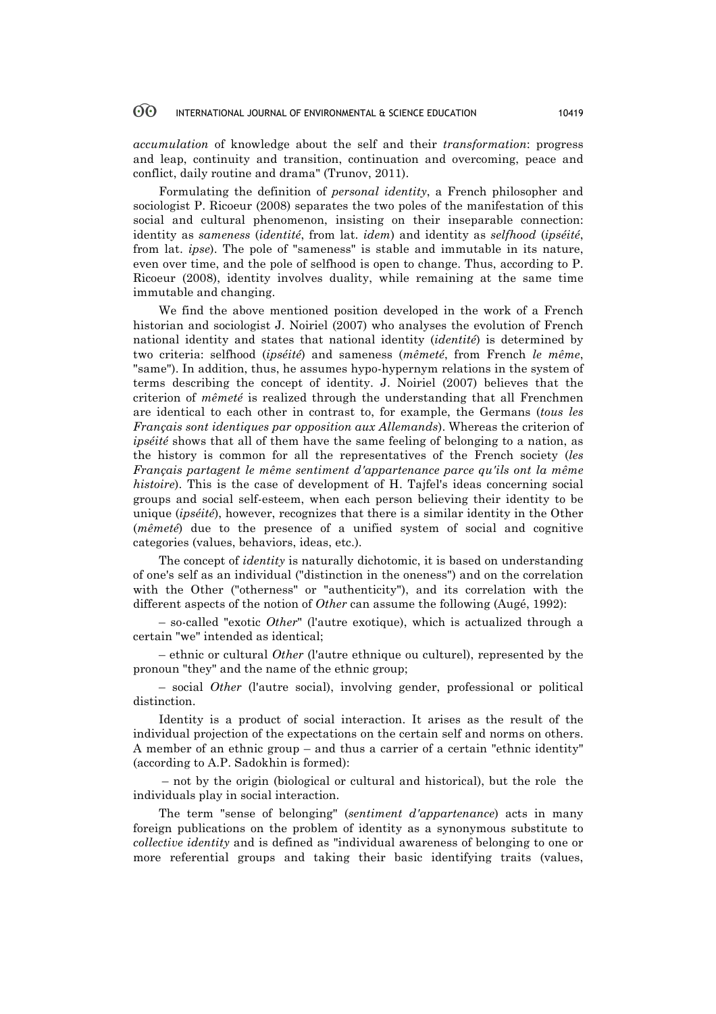*accumulation* of knowledge about the self and their *transformation*: progress and leap, continuity and transition, continuation and overcoming, peace and conflict, daily routine and drama" (Trunov, 2011).

Formulating the definition of *personal identity*, a French philosopher and sociologist P. Ricoeur (2008) separates the two poles of the manifestation of this social and cultural phenomenon, insisting on their inseparable connection: identity as *sameness* (*identité*, from lat. *idem*) and identity as *selfhood* (*ipséité*, from lat. *ipse*). The pole of "sameness" is stable and immutable in its nature, even over time, and the pole of selfhood is open to change. Thus, according to P. Ricoeur (2008), identity involves duality, while remaining at the same time immutable and changing.

We find the above mentioned position developed in the work of a French historian and sociologist J. Noiriel (2007) who analyses the evolution of French national identity and states that national identity (*identité*) is determined by two criteria: selfhood (*ipséité*) and sameness (*mêmeté*, from French *le même*, "same"). In addition, thus, he assumes hypo-hypernym relations in the system of terms describing the concept of identity. J. Noiriel (2007) believes that the criterion of *mêmeté* is realized through the understanding that all Frenchmen are identical to each other in contrast to, for example, the Germans (*tous les Français sont identiques par opposition aux Allemands*). Whereas the criterion of *ipséité* shows that all of them have the same feeling of belonging to a nation, as the history is common for all the representatives of the French society (*les Français partagent le même sentiment d'appartenance parce qu'ils ont la même histoire*). This is the case of development of H. Tajfel's ideas concerning social groups and social self-esteem, when each person believing their identity to be unique (*ipséité*), however, recognizes that there is a similar identity in the Other (*mêmeté*) due to the presence of a unified system of social and cognitive categories (values, behaviors, ideas, etc.).

The concept of *identity* is naturally dichotomic, it is based on understanding of one's self as an individual ("distinction in the oneness") and on the correlation with the Other ("otherness" or "authenticity"), and its correlation with the different aspects of the notion of *Other* can assume the following (Augé, 1992):

– so-called "exotic *Other*" (l'autre exotique), which is actualized through a certain "we" intended as identical;

– ethnic or cultural *Other* (l'autre ethnique ou culturel), represented by the pronoun "they" and the name of the ethnic group;

– social *Other* (l'autre social), involving gender, professional or political distinction.

Identity is a product of social interaction. It arises as the result of the individual projection of the expectations on the certain self and norms on others. A member of an ethnic group – and thus a carrier of a certain "ethnic identity" (according to A.P. Sadokhin is formed):

– not by the origin (biological or cultural and historical), but the role the individuals play in social interaction.

The term "sense of belonging" (*sentiment d'appartenance*) acts in many foreign publications on the problem of identity as a synonymous substitute to *collective identity* and is defined as "individual awareness of belonging to one or more referential groups and taking their basic identifying traits (values,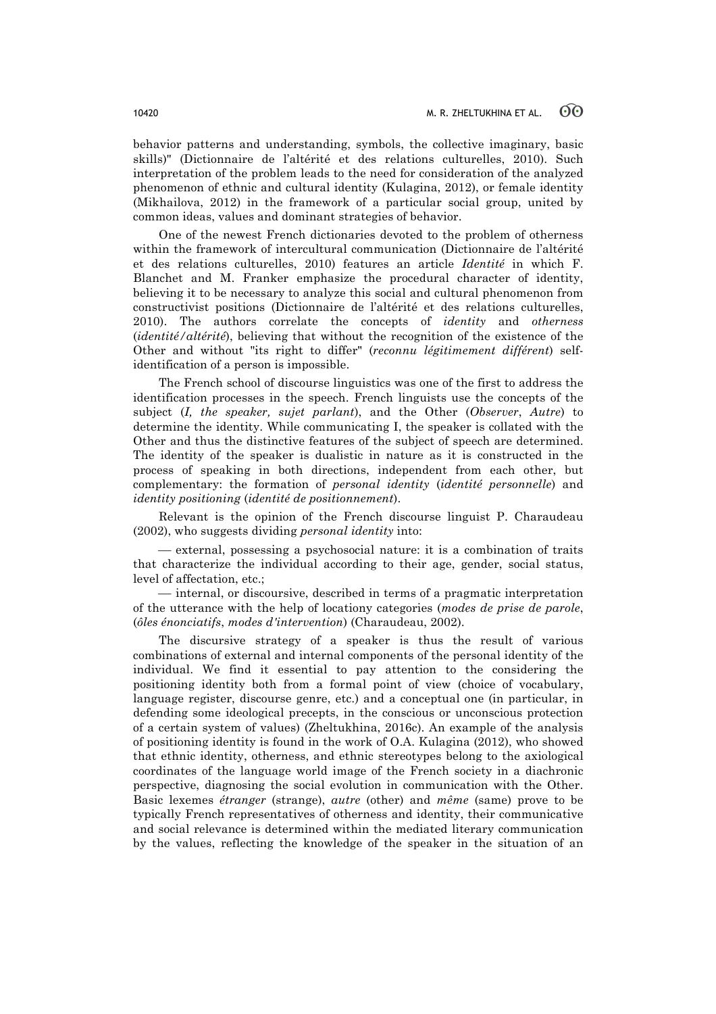behavior patterns and understanding, symbols, the collective imaginary, basic skills)" (Dictionnaire de l'altérité et des relations culturelles, 2010). Such interpretation of the problem leads to the need for consideration of the analyzed phenomenon of ethnic and cultural identity (Kulagina, 2012), or female identity (Mikhailova, 2012) in the framework of a particular social group, united by common ideas, values and dominant strategies of behavior.

One of the newest French dictionaries devoted to the problem of otherness within the framework of intercultural communication (Dictionnaire de l'altérité et des relations culturelles, 2010) features an article *Identité* in which F. Blanchet and M. Franker emphasize the procedural character of identity, believing it to be necessary to analyze this social and cultural phenomenon from constructivist positions (Dictionnaire de l'altérité et des relations culturelles, 2010). The authors correlate the concepts of *identity* and *otherness* (*identité/altérité*), believing that without the recognition of the existence of the Other and without "its right to differ" (*reconnu légitimement différent*) selfidentification of a person is impossible.

The French school of discourse linguistics was one of the first to address the identification processes in the speech. French linguists use the concepts of the subject (*I, the speaker, sujet parlant*), and the Other (*Observer*, *Autre*) to determine the identity. While communicating I, the speaker is collated with the Other and thus the distinctive features of the subject of speech are determined. The identity of the speaker is dualistic in nature as it is constructed in the process of speaking in both directions, independent from each other, but complementary: the formation of *personal identity* (*identité personnelle*) and *identity positioning* (*identité de positionnement*).

Relevant is the opinion of the French discourse linguist P. Charaudeau (2002), who suggests dividing *personal identity* into:

¾ external, possessing a psychosocial nature: it is a combination of traits that characterize the individual according to their age, gender, social status, level of affectation, etc.;

¾ internal, or discoursive, described in terms of a pragmatic interpretation of the utterance with the help of locationy categories (*modes de prise de parole*, (*ôles énonciatifs*, *modes d'intervention*) (Charaudeau, 2002).

The discursive strategy of a speaker is thus the result of various combinations of external and internal components of the personal identity of the individual. We find it essential to pay attention to the considering the positioning identity both from a formal point of view (choice of vocabulary, language register, discourse genre, etc.) and a conceptual one (in particular, in defending some ideological precepts, in the conscious or unconscious protection of a certain system of values) (Zheltukhina, 2016c). An example of the analysis of positioning identity is found in the work of O.A. Kulagina (2012), who showed that ethnic identity, otherness, and ethnic stereotypes belong to the axiological coordinates of the language world image of the French society in a diachronic perspective, diagnosing the social evolution in communication with the Other. Basic lexemes *étranger* (strange), *autre* (other) and *même* (same) prove to be typically French representatives of otherness and identity, their communicative and social relevance is determined within the mediated literary communication by the values, reflecting the knowledge of the speaker in the situation of an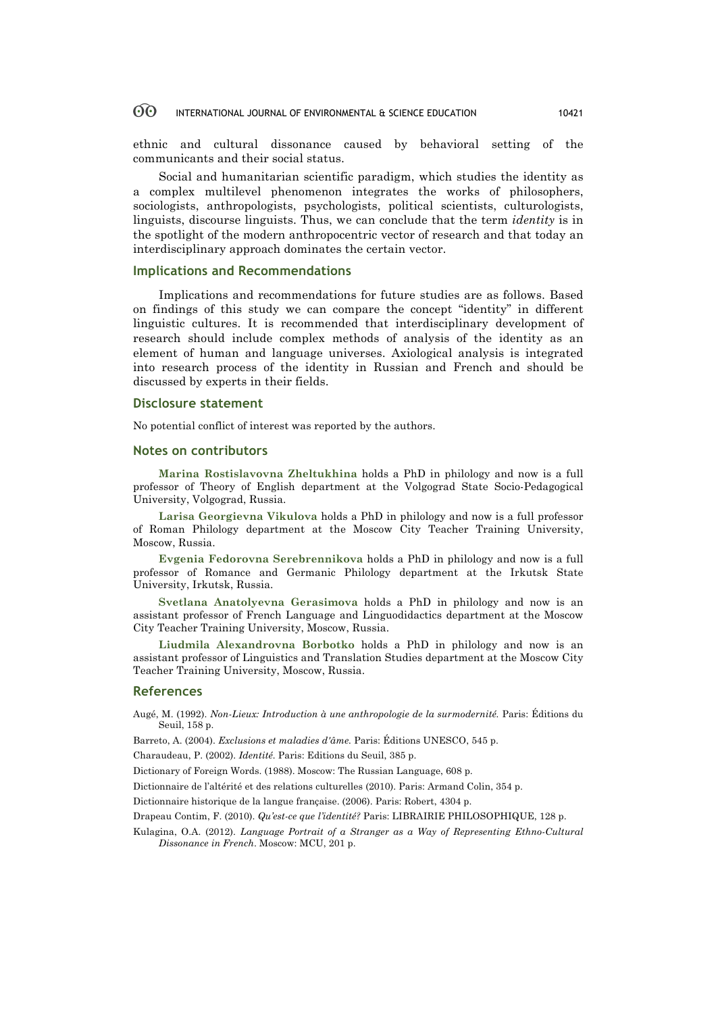ethnic and cultural dissonance caused by behavioral setting of the communicants and their social status.

Social and humanitarian scientific paradigm, which studies the identity as a complex multilevel phenomenon integrates the works of philosophers, sociologists, anthropologists, psychologists, political scientists, culturologists, linguists, discourse linguists. Thus, we can conclude that the term *identity* is in the spotlight of the modern anthropocentric vector of research and that today an interdisciplinary approach dominates the certain vector.

## **Implications and Recommendations**

Implications and recommendations for future studies are as follows. Based on findings of this study we can compare the concept "identity" in different linguistic cultures. It is recommended that interdisciplinary development of research should include complex methods of analysis of the identity as an element of human and language universes. Axiological analysis is integrated into research process of the identity in Russian and French and should be discussed by experts in their fields.

## **Disclosure statement**

No potential conflict of interest was reported by the authors.

### **Notes on contributors**

**Marina Rostislavovna Zheltukhina** holds a PhD in philology and now is a full professor of Theory of English department at the Volgograd State Socio-Pedagogical University, Volgograd, Russia.

**Larisa Georgievna Vikulova** holds a PhD in philology and now is a full professor of Roman Philology department at the Moscow City Teacher Training University, Moscow, Russia.

**Evgenia Fedorovna Serebrennikova** holds a PhD in philology and now is a full professor of Romance and Germanic Philology department at the Irkutsk State University, Irkutsk, Russia.

**Svetlana Anatolyevna Gerasimova** holds a PhD in philology and now is an assistant professor of French Language and Linguodidactics department at the Moscow City Teacher Training University, Moscow, Russia.

**Liudmila Alexandrovna Borbotko** holds a PhD in philology and now is an assistant professor of Linguistics and Translation Studies department at the Moscow City Teacher Training University, Moscow, Russia.

## **References**

Augé, M. (1992). *Non-Lieux: Introduction à une anthropologie de la surmodernité.* Paris: Éditions du Seuil, 158 p.

Barreto, A. (2004). *Exclusions et maladies d'âme.* Paris: Éditions UNESCO, 545 p.

Charaudeau, P. (2002). *Identité.* Paris: Editions du Seuil, 385 p.

Dictionary of Foreign Words. (1988). Мoscow: The Russian Language, 608 p.

Dictionnaire de l'altérité et des relations culturelles (2010). Paris: Armand Colin, 354 p.

Dictionnaire historique de la langue française. (2006). Paris: Robert, 4304 p.

Drapeau Contim, F. (2010). *Qu'est-ce que l'identité?* Paris: LIBRAIRIE PHILOSOPHIQUE, 128 p.

Kulagina, О.А. (2012). *Language Portrait of a Stranger as a Way of Representing Ethno-Cultural Dissonance in French*. Мoscow: MCU, 201 p.